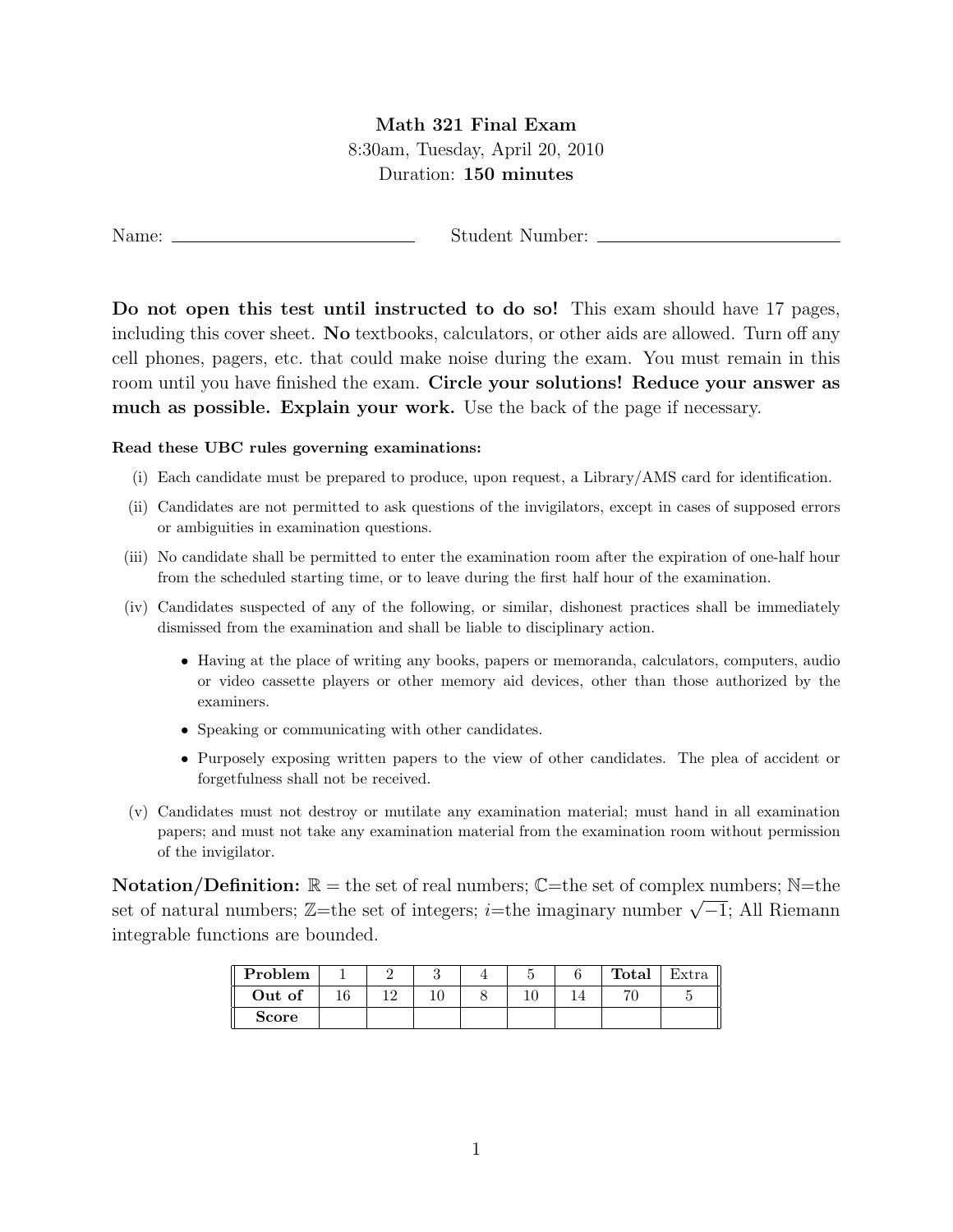## Math 321 Final Exam 8:30am, Tuesday, April 20, 2010 Duration: 150 minutes

Name: Student Number:

Do not open this test until instructed to do so! This exam should have 17 pages, including this cover sheet. No textbooks, calculators, or other aids are allowed. Turn off any cell phones, pagers, etc. that could make noise during the exam. You must remain in this room until you have finished the exam. Circle your solutions! Reduce your answer as much as possible. Explain your work. Use the back of the page if necessary.

## Read these UBC rules governing examinations:

- (i) Each candidate must be prepared to produce, upon request, a Library/AMS card for identification.
- (ii) Candidates are not permitted to ask questions of the invigilators, except in cases of supposed errors or ambiguities in examination questions.
- (iii) No candidate shall be permitted to enter the examination room after the expiration of one-half hour from the scheduled starting time, or to leave during the first half hour of the examination.
- (iv) Candidates suspected of any of the following, or similar, dishonest practices shall be immediately dismissed from the examination and shall be liable to disciplinary action.
	- Having at the place of writing any books, papers or memoranda, calculators, computers, audio or video cassette players or other memory aid devices, other than those authorized by the examiners.
	- Speaking or communicating with other candidates.
	- Purposely exposing written papers to the view of other candidates. The plea of accident or forgetfulness shall not be received.
- (v) Candidates must not destroy or mutilate any examination material; must hand in all examination papers; and must not take any examination material from the examination room without permission of the invigilator.

**Notation/Definition:**  $\mathbb{R} =$  the set of real numbers;  $\mathbb{C}$ =the set of complex numbers;  $\mathbb{N}$ =the set of natural numbers;  $\mathbb{Z}$ =the set of integers; *i*=the imaginary number  $\sqrt{-1}$ ; All Riemann integrable functions are bounded.

| Problem      |  |  |  | Total          | Extra |
|--------------|--|--|--|----------------|-------|
| Out of       |  |  |  | $\overline{ }$ |       |
| <b>Score</b> |  |  |  |                |       |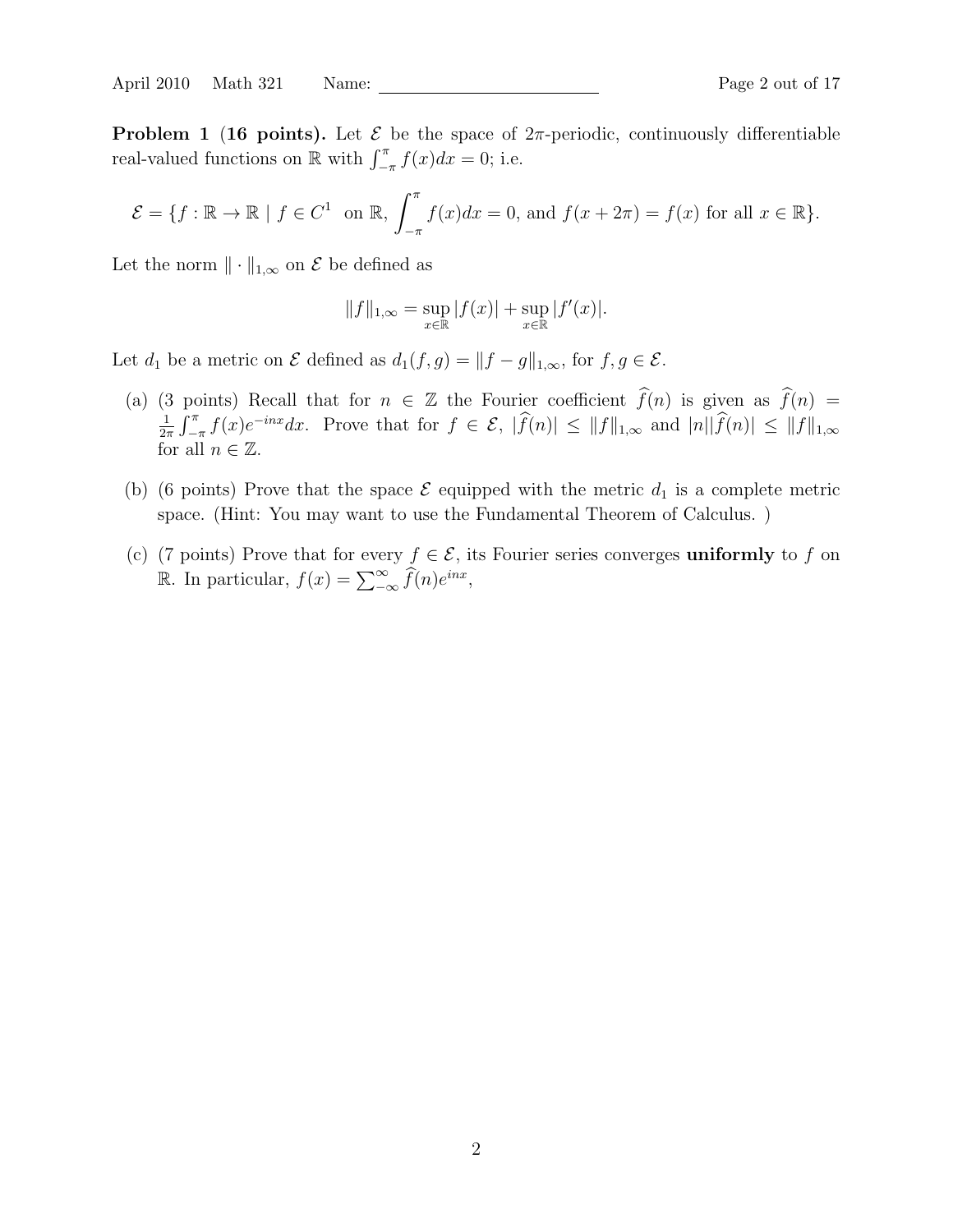**Problem 1 (16 points).** Let  $\mathcal{E}$  be the space of  $2\pi$ -periodic, continuously differentiable real-valued functions on  $\mathbb R$  with  $\int_{-\pi}^{\pi} f(x)dx = 0$ ; i.e.

$$
\mathcal{E} = \{ f : \mathbb{R} \to \mathbb{R} \mid f \in C^1 \text{ on } \mathbb{R}, \int_{-\pi}^{\pi} f(x)dx = 0, \text{ and } f(x + 2\pi) = f(x) \text{ for all } x \in \mathbb{R} \}.
$$

Let the norm  $\|\cdot\|_{1,\infty}$  on  $\mathcal E$  be defined as

$$
||f||_{1,\infty} = \sup_{x \in \mathbb{R}} |f(x)| + \sup_{x \in \mathbb{R}} |f'(x)|.
$$

Let  $d_1$  be a metric on  $\mathcal E$  defined as  $d_1(f,g) = ||f - g||_{1,\infty}$ , for  $f, g \in \mathcal E$ .

- (a) (3 points) Recall that for  $n \in \mathbb{Z}$  the Fourier coefficient  $\hat{f}(n)$  is given as  $\hat{f}(n) =$ 1  $\frac{1}{2\pi}\int_{-\pi}^{\pi}f(x)e^{-inx}dx$ . Prove that for  $f \in \mathcal{E}$ ,  $|\widehat{f}(n)| \leq ||f||_{1,\infty}$  and  $|n||\widehat{f}(n)| \leq ||f||_{1,\infty}$ for all  $n \in \mathbb{Z}$ .
- (b) (6 points) Prove that the space  $\mathcal E$  equipped with the metric  $d_1$  is a complete metric space. (Hint: You may want to use the Fundamental Theorem of Calculus. )
- (c) (7 points) Prove that for every  $f \in \mathcal{E}$ , its Fourier series converges uniformly to f on R. In particular,  $f(x) = \sum_{-\infty}^{\infty} \widehat{f}(n)e^{inx}$ ,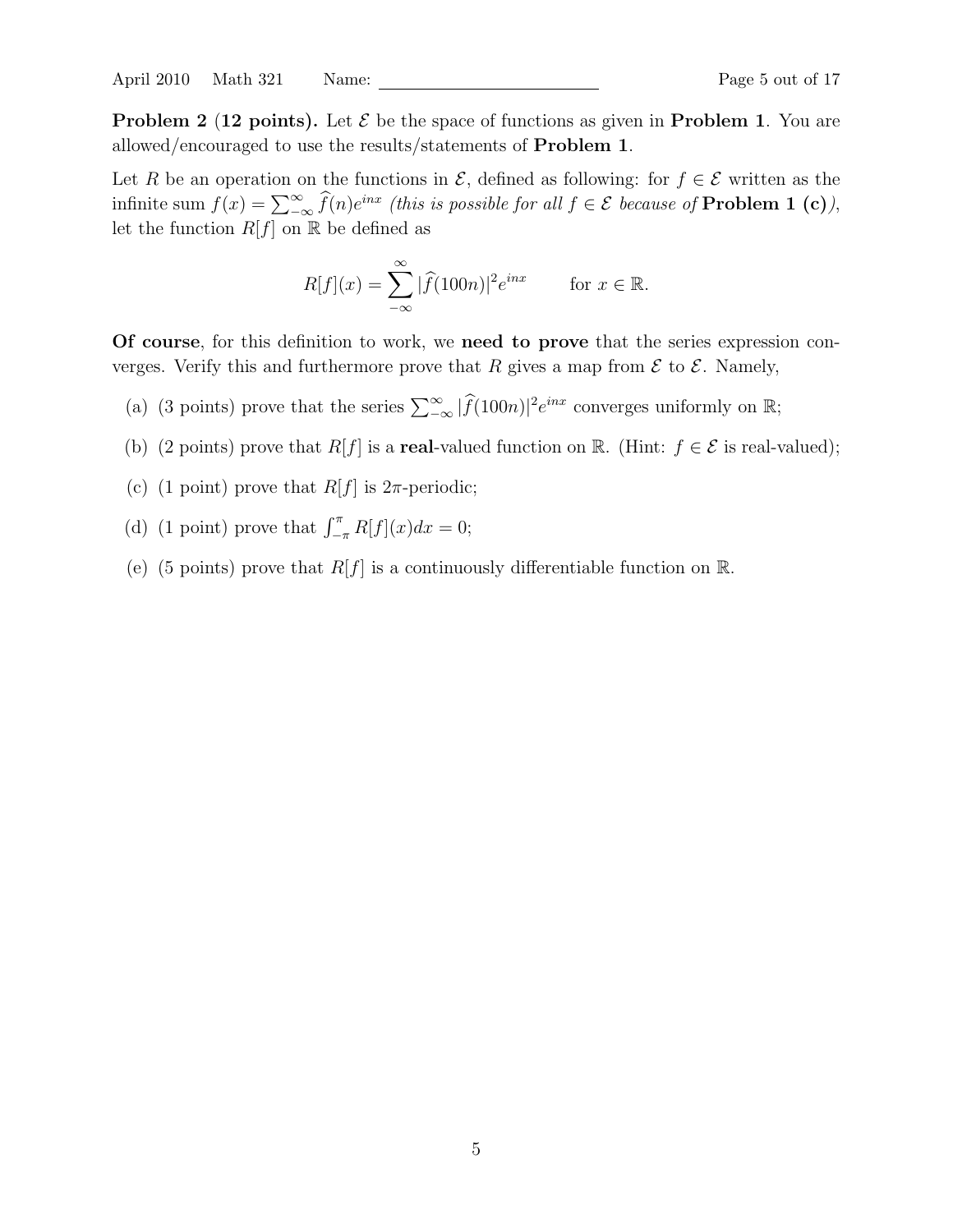April 2010 Math 321 Name: Page 5 out of 17

Let R be an operation on the functions in  $\mathcal{E}$ , defined as following: for  $f \in \mathcal{E}$  written as the infinite sum  $f(x) = \sum_{-\infty}^{\infty} \widehat{f}(n)e^{inx}$  (this is possible for all  $f \in \mathcal{E}$  because of **Problem 1 (c)**), let the function  $R[f]$  on  $\mathbb R$  be defined as

$$
R[f](x) = \sum_{-\infty}^{\infty} |\widehat{f}(100n)|^2 e^{inx} \quad \text{for } x \in \mathbb{R}.
$$

Of course, for this definition to work, we need to prove that the series expression converges. Verify this and furthermore prove that R gives a map from  $\mathcal E$  to  $\mathcal E$ . Namely,

- (a) (3 points) prove that the series  $\sum_{-\infty}^{\infty} |\widehat{f}(100n)|^2 e^{inx}$  converges uniformly on  $\mathbb{R}$ ;
- (b) (2 points) prove that  $R[f]$  is a **real**-valued function on R. (Hint:  $f \in \mathcal{E}$  is real-valued);
- (c) (1 point) prove that  $R[f]$  is  $2\pi$ -periodic;
- (d) (1 point) prove that  $\int_{-\pi}^{\pi} R[f](x) dx = 0;$
- (e) (5 points) prove that  $R[f]$  is a continuously differentiable function on  $\mathbb{R}$ .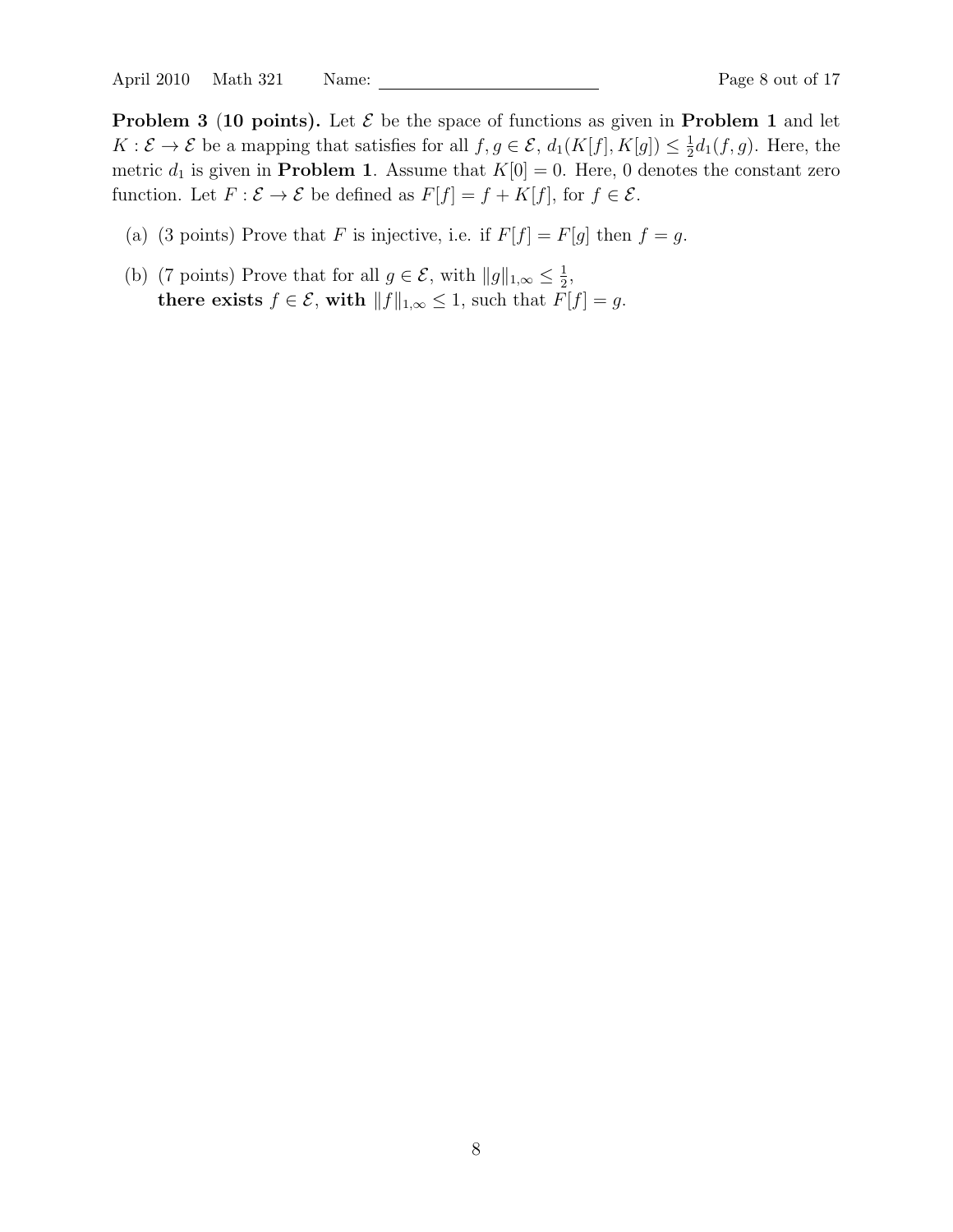April 2010 Math 321 Name: Page 8 out of 17

**Problem 3 (10 points).** Let  $\mathcal{E}$  be the space of functions as given in **Problem 1** and let  $K: \mathcal{E} \to \mathcal{E}$  be a mapping that satisfies for all  $f, g \in \mathcal{E}$ ,  $d_1(K[f], K[g]) \leq \frac{1}{2}$  $\frac{1}{2}d_1(f,g)$ . Here, the metric  $d_1$  is given in **Problem 1**. Assume that  $K[0] = 0$ . Here, 0 denotes the constant zero function. Let  $F : \mathcal{E} \to \mathcal{E}$  be defined as  $F[f] = f + K[f]$ , for  $f \in \mathcal{E}$ .

- (a) (3 points) Prove that F is injective, i.e. if  $F[f] = F[g]$  then  $f = g$ .
- (b) (7 points) Prove that for all  $g \in \mathcal{E}$ , with  $||g||_{1,\infty} \leq \frac{1}{2}$  $\frac{1}{2}$ , there exists  $f \in \mathcal{E}$ , with  $||f||_{1,\infty} \leq 1$ , such that  $\tilde{F}[f] = g$ .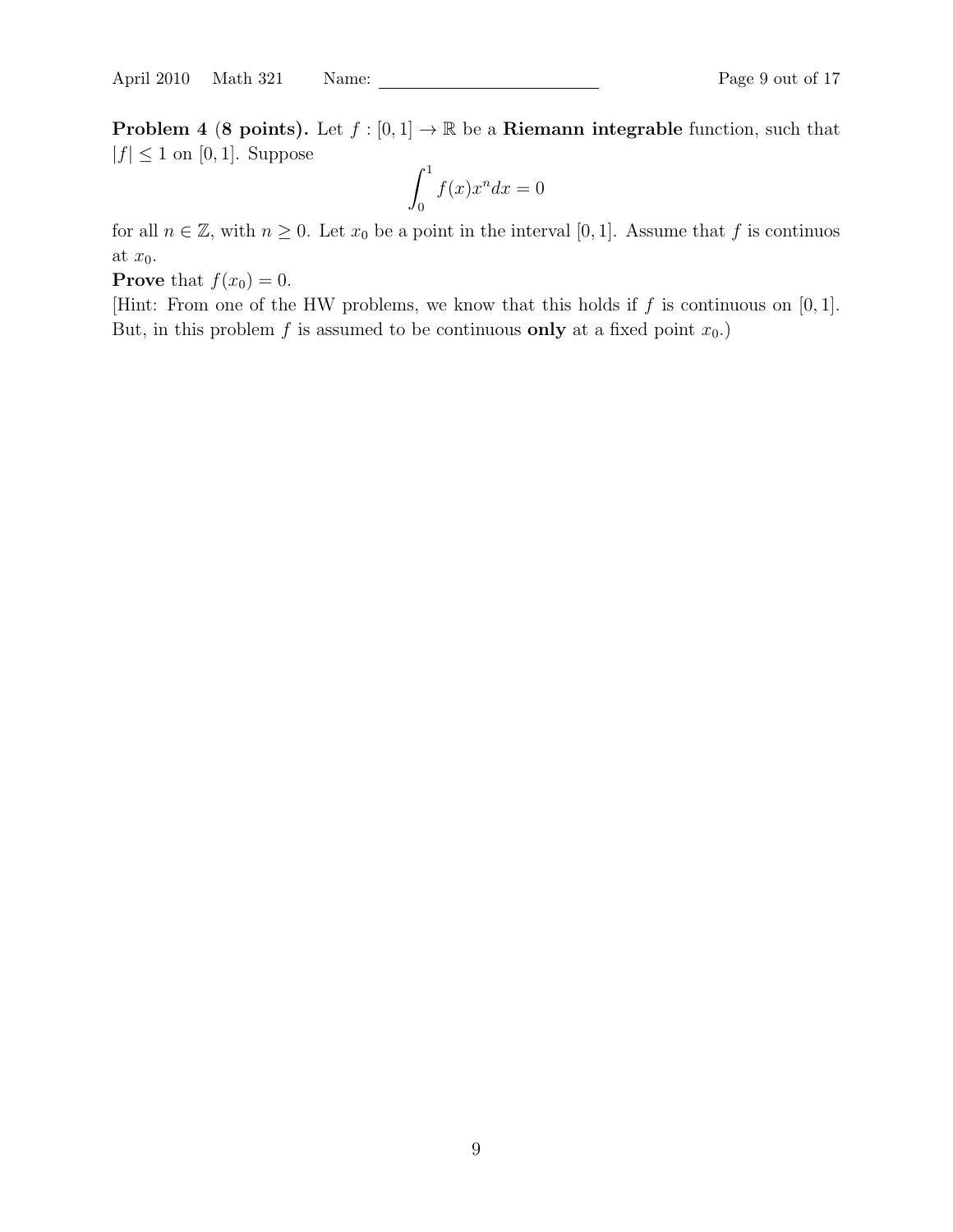**Problem 4 (8 points).** Let  $f : [0,1] \to \mathbb{R}$  be a **Riemann integrable** function, such that  $|f| \leq 1$  on [0, 1]. Suppose

$$
\int_0^1 f(x)x^n dx = 0
$$

for all  $n \in \mathbb{Z}$ , with  $n \geq 0$ . Let  $x_0$  be a point in the interval [0, 1]. Assume that f is continuos at  $x_0$ .

**Prove** that  $f(x_0) = 0$ .

[Hint: From one of the HW problems, we know that this holds if  $f$  is continuous on [0, 1]. But, in this problem f is assumed to be continuous only at a fixed point  $x_0$ .)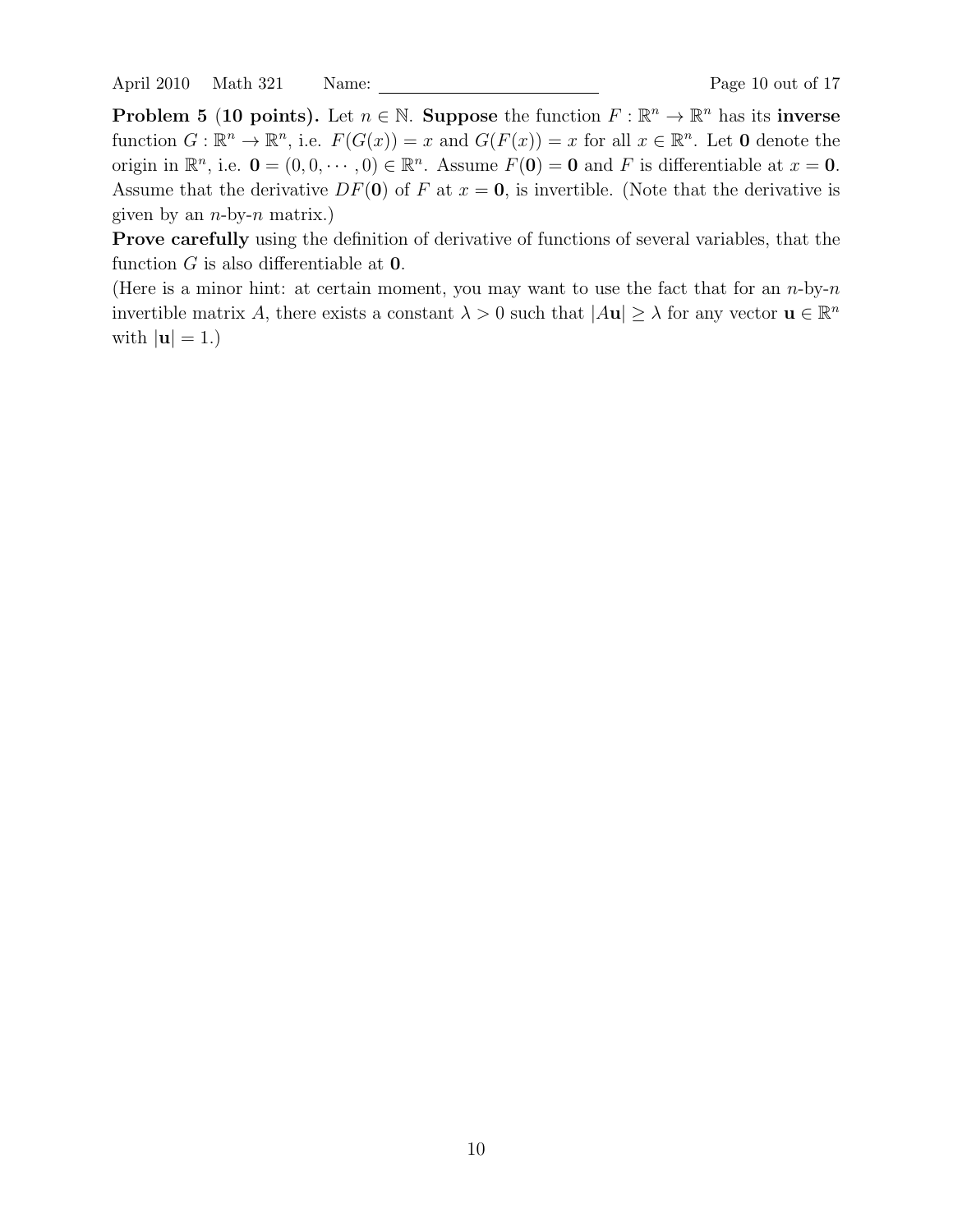April 2010 Math 321 Name: Page 10 out of 17

**Problem 5 (10 points).** Let  $n \in \mathbb{N}$ . Suppose the function  $F : \mathbb{R}^n \to \mathbb{R}^n$  has its inverse function  $G: \mathbb{R}^n \to \mathbb{R}^n$ , i.e.  $F(G(x)) = x$  and  $G(F(x)) = x$  for all  $x \in \mathbb{R}^n$ . Let **0** denote the origin in  $\mathbb{R}^n$ , i.e.  $\mathbf{0} = (0, 0, \dots, 0) \in \mathbb{R}^n$ . Assume  $F(\mathbf{0}) = \mathbf{0}$  and F is differentiable at  $x = \mathbf{0}$ . Assume that the derivative  $DF(0)$  of F at  $x = 0$ , is invertible. (Note that the derivative is given by an  $n$ -by- $n$  matrix.)

Prove carefully using the definition of derivative of functions of several variables, that the function  $G$  is also differentiable at  $0$ .

(Here is a minor hint: at certain moment, you may want to use the fact that for an  $n$ -by- $n$ invertible matrix A, there exists a constant  $\lambda > 0$  such that  $|A\mathbf{u}| \geq \lambda$  for any vector  $\mathbf{u} \in \mathbb{R}^n$ with  $|\mathbf{u}| = 1.$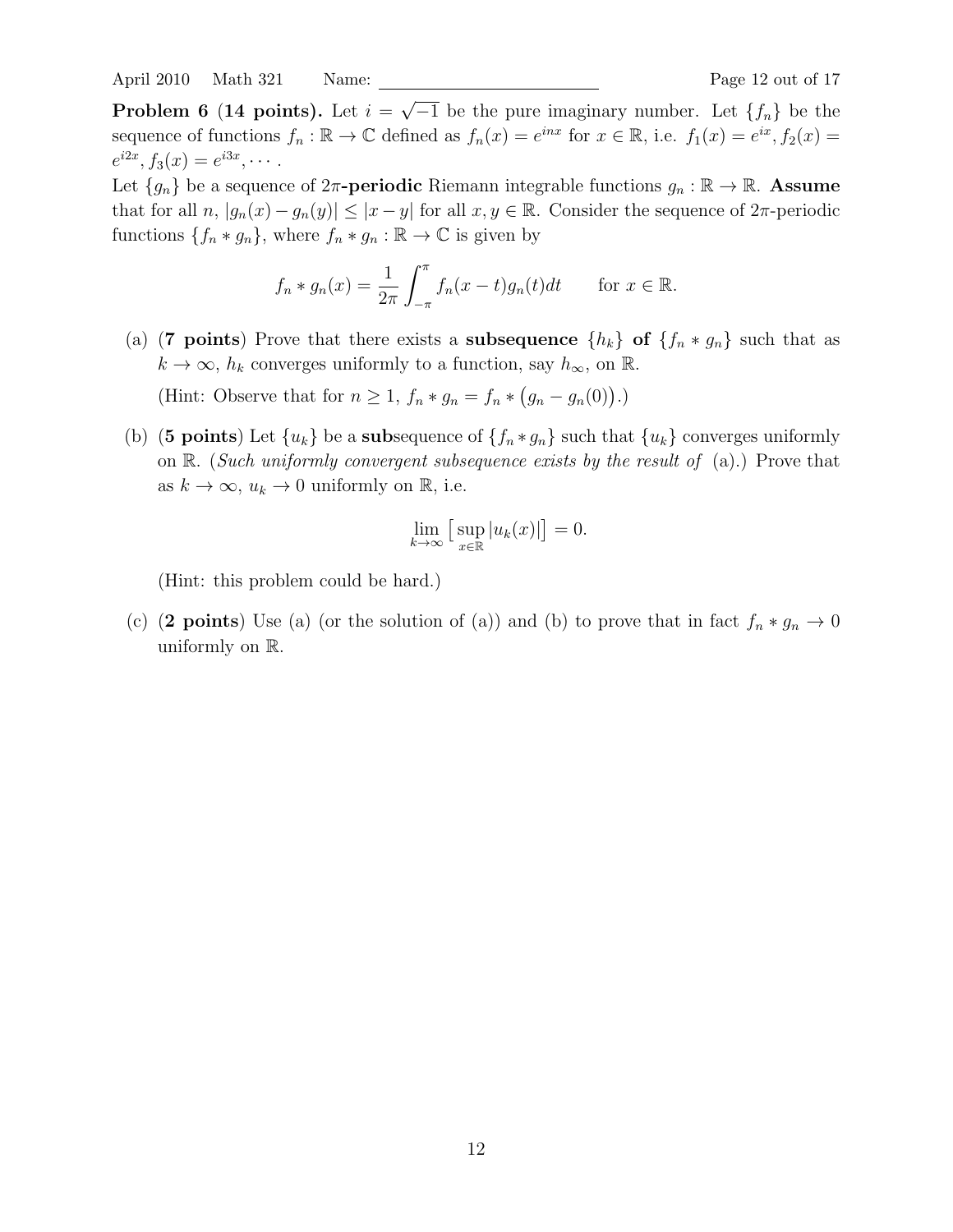April 2010 Math 321 Name: Page 12 out of 17

Problem 6 (14 points). Let  $i =$ √  $\overline{-1}$  be the pure imaginary number. Let  $\{f_n\}$  be the sequence of functions  $f_n : \mathbb{R} \to \mathbb{C}$  defined as  $f_n(x) = e^{inx}$  for  $x \in \mathbb{R}$ , i.e.  $f_1(x) = e^{ix}$ ,  $f_2(x) =$  $e^{i2x}, f_3(x) = e^{i3x}, \cdots$ 

Let  $\{g_n\}$  be a sequence of  $2\pi$ -periodic Riemann integrable functions  $g_n : \mathbb{R} \to \mathbb{R}$ . Assume that for all  $n, |g_n(x) - g_n(y)| \leq |x - y|$  for all  $x, y \in \mathbb{R}$ . Consider the sequence of  $2\pi$ -periodic functions  $\{f_n * g_n\}$ , where  $f_n * g_n : \mathbb{R} \to \mathbb{C}$  is given by

$$
f_n * g_n(x) = \frac{1}{2\pi} \int_{-\pi}^{\pi} f_n(x - t) g_n(t) dt \quad \text{for } x \in \mathbb{R}.
$$

(a) (7 points) Prove that there exists a subsequence  $\{h_k\}$  of  $\{f_n * g_n\}$  such that as  $k \to \infty$ ,  $h_k$  converges uniformly to a function, say  $h_{\infty}$ , on  $\mathbb{R}$ .

(Hint: Observe that for  $n \geq 1$ ,  $f_n * g_n = f_n * (g_n - g_n(0))$ .)

(b) (5 points) Let  ${u_k}$  be a subsequence of  ${f_n * g_n}$  such that  ${u_k}$  converges uniformly on  $\mathbb{R}$ . (Such uniformly convergent subsequence exists by the result of (a).) Prove that as  $k \to \infty$ ,  $u_k \to 0$  uniformly on R, i.e.

$$
\lim_{k \to \infty} \left[ \sup_{x \in \mathbb{R}} |u_k(x)| \right] = 0.
$$

(Hint: this problem could be hard.)

(c) (2 points) Use (a) (or the solution of (a)) and (b) to prove that in fact  $f_n * g_n \to 0$ uniformly on R.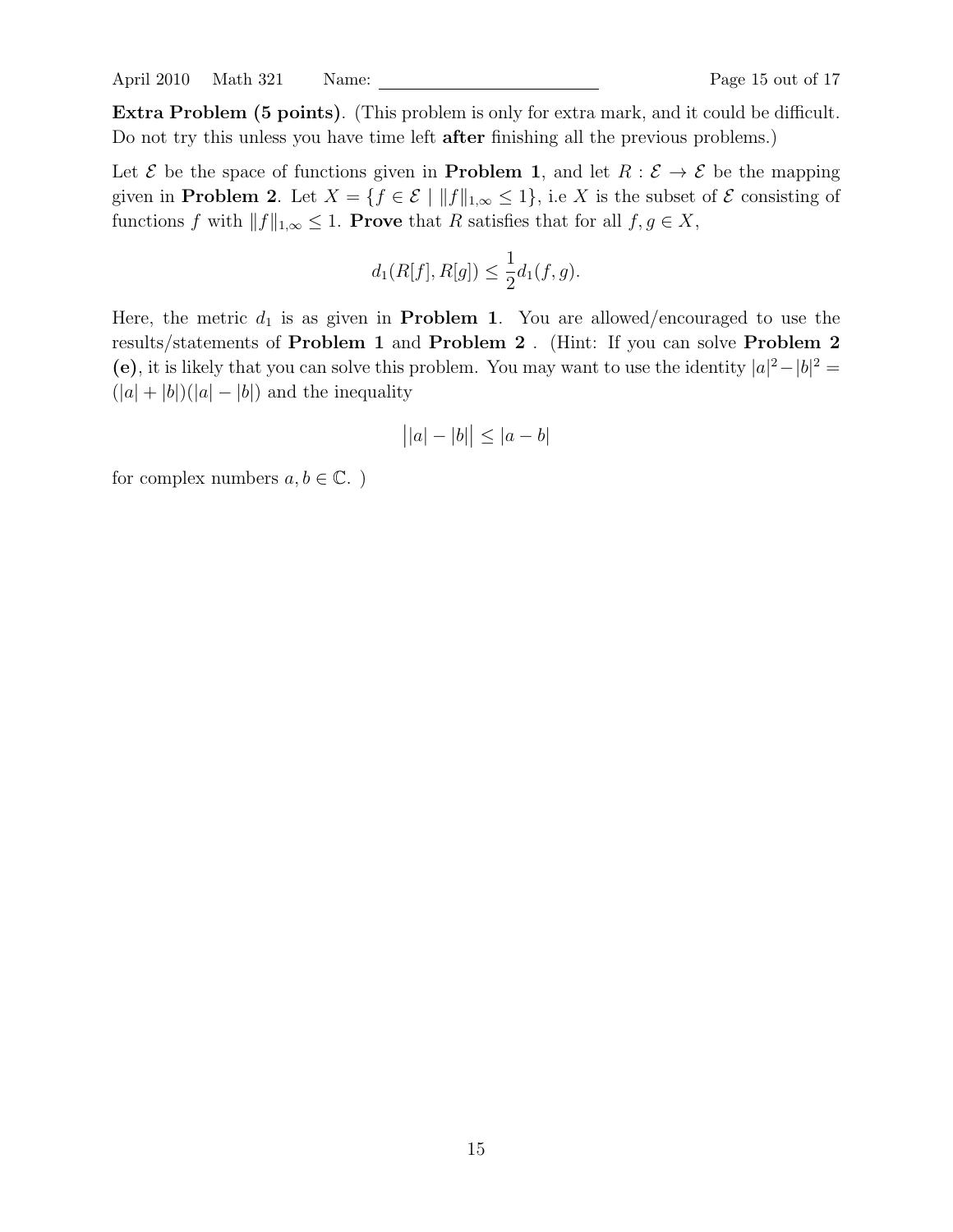April 2010 Math 321 Name: Page 15 out of 17

Extra Problem (5 points). (This problem is only for extra mark, and it could be difficult. Do not try this unless you have time left after finishing all the previous problems.)

Let  $\mathcal E$  be the space of functions given in **Problem 1**, and let  $R : \mathcal E \to \mathcal E$  be the mapping given in **Problem 2**. Let  $X = \{f \in \mathcal{E} \mid ||f||_{1,\infty} \leq 1\}$ , i.e X is the subset of  $\mathcal{E}$  consisting of functions f with  $||f||_{1,\infty} \leq 1$ . Prove that R satisfies that for all  $f, g \in X$ ,

$$
d_1(R[f], R[g]) \le \frac{1}{2}d_1(f, g).
$$

Here, the metric  $d_1$  is as given in **Problem 1**. You are allowed/encouraged to use the results/statements of Problem 1 and Problem 2 . (Hint: If you can solve Problem 2 (e), it is likely that you can solve this problem. You may want to use the identity  $|a|^2 - |b|^2 =$  $(|a|+|b|)(|a|-|b|)$  and the inequality

$$
||a|-|b|| \le |a-b|
$$

for complex numbers  $a, b \in \mathbb{C}$ .